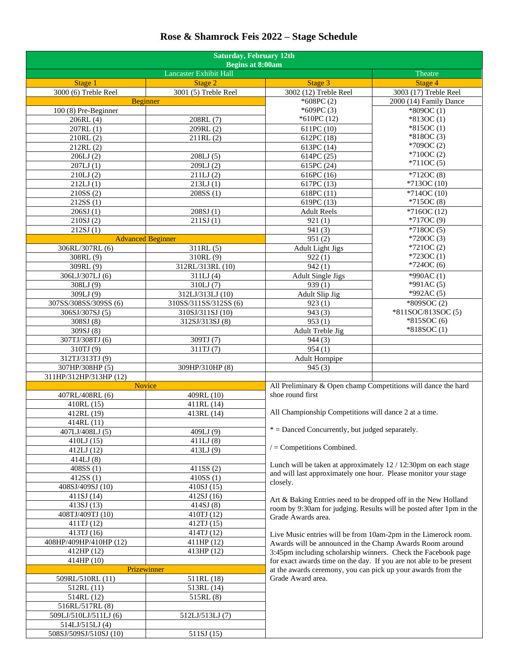## **Rose & Shamrock Feis 2022 – Stage Schedule**

| <b>Saturday, February 12th</b><br><b>Begins at 8:00am</b> |                            |                                                                                                                                                                                                  |                                                                     |  |
|-----------------------------------------------------------|----------------------------|--------------------------------------------------------------------------------------------------------------------------------------------------------------------------------------------------|---------------------------------------------------------------------|--|
|                                                           | Lancaster Exhibit Hall     |                                                                                                                                                                                                  | Theatre                                                             |  |
| Stage 1                                                   | Stage 2                    | Stage 3                                                                                                                                                                                          | Stage 4                                                             |  |
| 3000 (6) Treble Reel                                      | 3001 (5) Treble Reel       | 3002 (12) Treble Reel                                                                                                                                                                            | 3003 (17) Treble Reel                                               |  |
| <b>Beginner</b>                                           |                            | $*608PC(2)$                                                                                                                                                                                      | 2000 (14) Family Dance                                              |  |
| 100 (8) Pre-Beginner                                      |                            | *609PC(3)                                                                                                                                                                                        | $*809OC(1)$                                                         |  |
| 206RL (4)                                                 | 208RL (7)                  | $*610PC(12)$                                                                                                                                                                                     | $*813OC(1)$                                                         |  |
| 207RL(1)                                                  | 209RL (2)                  | 611PC (10)                                                                                                                                                                                       | $*815OC(1)$                                                         |  |
| 210RL(2)                                                  | 211RL(2)                   | 612PC (18)                                                                                                                                                                                       | $*818OC(3)$<br>$*709OC(2)$                                          |  |
| 212RL(2)                                                  |                            | 613PC (14)                                                                                                                                                                                       | $*710OC(2)$                                                         |  |
| 206LJ(2)                                                  | 208LJ(5)                   | 614PC (25)                                                                                                                                                                                       | $*711OC(5)$                                                         |  |
| 207LJ(1)                                                  | 209LJ(2)                   | 615PC (24)                                                                                                                                                                                       |                                                                     |  |
| 210LJ(2)                                                  | 211LJ(2)                   | 616PC(16)                                                                                                                                                                                        | $*712OC(8)$                                                         |  |
| 212LJ(1)                                                  | 213LJ(1)                   | 617PC (13)                                                                                                                                                                                       | $*713OC(10)$                                                        |  |
| 210SS(2)<br>212SS (1)                                     | 208SS (1)                  | 618PC(11)<br>619PC (13)                                                                                                                                                                          | $*714OC(10)$<br>$*715OC(8)$                                         |  |
| 206SJ(1)                                                  | 208SJ(1)                   | <b>Adult Reels</b>                                                                                                                                                                               | $*716OC(12)$                                                        |  |
| 210SJ(2)                                                  | 211SJ(1)                   | 921(1)                                                                                                                                                                                           | $*7170C(9)$                                                         |  |
| 212SJ(1)                                                  |                            | 941(3)                                                                                                                                                                                           | $*718OC(5)$                                                         |  |
| <b>Advanced Beginner</b>                                  |                            | 951(2)                                                                                                                                                                                           | $*720OC(3)$                                                         |  |
| 306RL/307RL (6)                                           | 311RL(5)                   | <b>Adult Light Jigs</b>                                                                                                                                                                          | $*721OC(2)$                                                         |  |
| 308RL (9)                                                 | 310RL (9)                  | 922(1)                                                                                                                                                                                           | *7230C(1)                                                           |  |
| 309RL (9)                                                 | 312RL/313RL (10)           | 942(1)                                                                                                                                                                                           | $*724OC(6)$                                                         |  |
| 306LJ/307LJ (6)                                           | 311LJ(4)                   | Adult Single Jigs                                                                                                                                                                                | $*990AC(1)$                                                         |  |
| 308LJ (9)                                                 | 310LJ(7)                   | 939(1)                                                                                                                                                                                           | $*991AC(5)$                                                         |  |
| 309LJ (9)                                                 | 312LJ/313LJ (10)           | Adult Slip Jig                                                                                                                                                                                   | *992AC(5)                                                           |  |
| 307SS/308SS/309SS (6)                                     | 310SS/311SS/312SS (6)      | 923(1)                                                                                                                                                                                           | *809SOC(2)                                                          |  |
| 306SJ/307SJ (5)                                           | 310SJ/311SJ (10)           | 943(3)                                                                                                                                                                                           | *811SOC/813SOC (5)                                                  |  |
| 308SJ (8)                                                 | 312SJ/313SJ (8)            | 953(1)                                                                                                                                                                                           | $*815SOC(6)$                                                        |  |
| 309SJ (8)                                                 |                            | Adult Treble Jig                                                                                                                                                                                 | *818SOC(1)                                                          |  |
| 307TJ/308TJ (6)                                           | 309TJ (7)                  | 944(3)                                                                                                                                                                                           |                                                                     |  |
| 310TJ (9)                                                 | 311TJ (7)                  | 954(1)                                                                                                                                                                                           |                                                                     |  |
| 312TJ/313TJ (9)                                           |                            | Adult Hornpipe                                                                                                                                                                                   |                                                                     |  |
| 307HP/308HP (5)                                           | 309HP/310HP (8)            | 945(3)                                                                                                                                                                                           |                                                                     |  |
| 311HP/312HP/313HP (12)                                    |                            |                                                                                                                                                                                                  |                                                                     |  |
| <b>Novice</b>                                             |                            | All Preliminary & Open champ Competitions will dance the hard                                                                                                                                    |                                                                     |  |
| 407RL/408RL (6)                                           | 409RL (10)                 | shoe round first                                                                                                                                                                                 |                                                                     |  |
| 410RL (15)                                                | 411RL (14)                 |                                                                                                                                                                                                  |                                                                     |  |
| 412RL (19)                                                | 413RL (14)                 | All Championship Competitions will dance 2 at a time.                                                                                                                                            |                                                                     |  |
| 414RL (11)                                                |                            |                                                                                                                                                                                                  |                                                                     |  |
| 407LJ/408LJ (5)                                           | 409LJ (9)                  | $*$ = Danced Concurrently, but judged separately.                                                                                                                                                |                                                                     |  |
| 410LJ(15)                                                 | 411LJ(8)                   | $/$ = Competitions Combined.                                                                                                                                                                     |                                                                     |  |
| 412LJ (12)                                                | 413LJ(9)                   |                                                                                                                                                                                                  |                                                                     |  |
| 414LJ(8)                                                  |                            | Lunch will be taken at approximately 12 / 12:30pm on each stage                                                                                                                                  |                                                                     |  |
| 408SS (1)                                                 | 411SS(2)                   | and will last approximately one hour. Please monitor your stage                                                                                                                                  |                                                                     |  |
| 412SS(1)                                                  | 410SS(1)                   | closely.                                                                                                                                                                                         |                                                                     |  |
| 408SJ/409SJ (10)                                          | 410SJ (15)                 |                                                                                                                                                                                                  |                                                                     |  |
| 411SJ (14)                                                | 412SJ (16)                 | Art & Baking Entries need to be dropped off in the New Holland                                                                                                                                   |                                                                     |  |
| 413SJ (13)                                                | 414SJ(8)                   |                                                                                                                                                                                                  | room by 9:30am for judging. Results will be posted after 1pm in the |  |
| 408TJ/409TJ (10)<br>411TJ (12)                            | 410TJ (12)<br>412TJ $(15)$ | Grade Awards area.                                                                                                                                                                               |                                                                     |  |
| 413TJ (16)                                                |                            |                                                                                                                                                                                                  |                                                                     |  |
| 408HP/409HP/410HP (12)                                    | 414TJ (12)<br>411HP (12)   | Live Music entries will be from 10am-2pm in the Limerock room.                                                                                                                                   |                                                                     |  |
| 412HP (12)                                                | 413HP (12)                 | Awards will be announced in the Champ Awards Room around<br>3:45pm including scholarship winners. Check the Facebook page<br>for exact awards time on the day. If you are not able to be present |                                                                     |  |
| 414HP (10)                                                |                            |                                                                                                                                                                                                  |                                                                     |  |
|                                                           | Prizewinner                |                                                                                                                                                                                                  |                                                                     |  |
| 509RL/510RL (11)                                          | 511RL (18)                 | Grade Award area.                                                                                                                                                                                | at the awards ceremony, you can pick up your awards from the        |  |
| 512RL (11)                                                | 513RL (14)                 |                                                                                                                                                                                                  |                                                                     |  |
| 514RL (12)                                                | 515RL (8)                  |                                                                                                                                                                                                  |                                                                     |  |
| 516RL/517RL (8)                                           |                            |                                                                                                                                                                                                  |                                                                     |  |
| 509LJ/510LJ/511LJ (6)                                     | 512LJ/513LJ (7)            |                                                                                                                                                                                                  |                                                                     |  |
| 514LJ/515LJ (4)                                           |                            |                                                                                                                                                                                                  |                                                                     |  |
| 508SJ/509SJ/510SJ (10)                                    | 511SJ (15)                 |                                                                                                                                                                                                  |                                                                     |  |